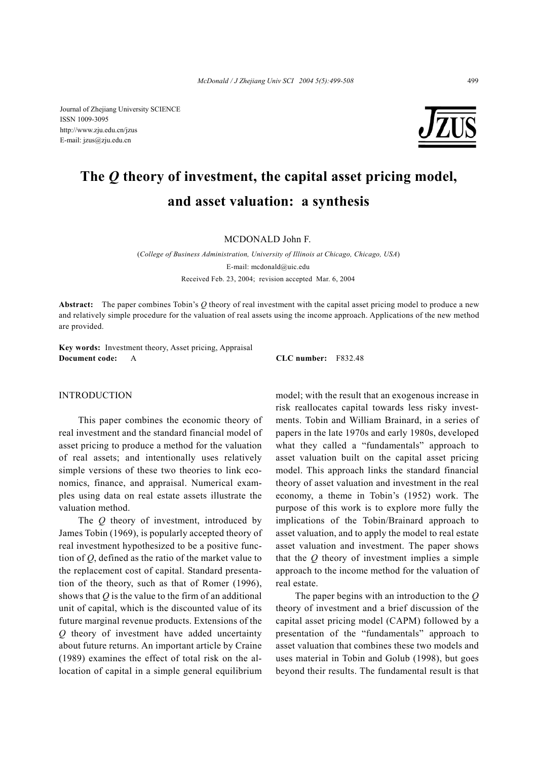

# **The** *Q* **theory of investment, the capital asset pricing model, and asset valuation: a synthesis**

MCDONALD John F.

(*College of Business Administration, University of Illinois at Chicago, Chicago, USA*) E-mail: mcdonald@uic.edu Received Feb. 23, 2004; revision accepted Mar. 6, 2004

**Abstract:** The paper combines Tobin's *Q* theory of real investment with the capital asset pricing model to produce a new and relatively simple procedure for the valuation of real assets using the income approach. Applications of the new method are provided.

**Key words:** Investment theory, Asset pricing, Appraisal **Document code:** A **CLC number:** F832.48

## INTRODUCTION

This paper combines the economic theory of real investment and the standard financial model of asset pricing to produce a method for the valuation of real assets; and intentionally uses relatively simple versions of these two theories to link economics, finance, and appraisal. Numerical examples using data on real estate assets illustrate the valuation method.

The *Q* theory of investment, introduced by James Tobin (1969), is popularly accepted theory of real investment hypothesized to be a positive function of *Q*, defined as the ratio of the market value to the replacement cost of capital. Standard presentation of the theory, such as that of Romer (1996), shows that *Q* is the value to the firm of an additional unit of capital, which is the discounted value of its future marginal revenue products. Extensions of the *Q* theory of investment have added uncertainty about future returns. An important article by Craine (1989) examines the effect of total risk on the allocation of capital in a simple general equilibrium model; with the result that an exogenous increase in risk reallocates capital towards less risky investments. Tobin and William Brainard, in a series of papers in the late 1970s and early 1980s, developed what they called a "fundamentals" approach to asset valuation built on the capital asset pricing model. This approach links the standard financial theory of asset valuation and investment in the real economy, a theme in Tobin's (1952) work. The purpose of this work is to explore more fully the implications of the Tobin/Brainard approach to asset valuation, and to apply the model to real estate asset valuation and investment. The paper shows that the *Q* theory of investment implies a simple approach to the income method for the valuation of real estate.

The paper begins with an introduction to the *Q* theory of investment and a brief discussion of the capital asset pricing model (CAPM) followed by a presentation of the "fundamentals" approach to asset valuation that combines these two models and uses material in Tobin and Golub (1998), but goes beyond their results. The fundamental result is that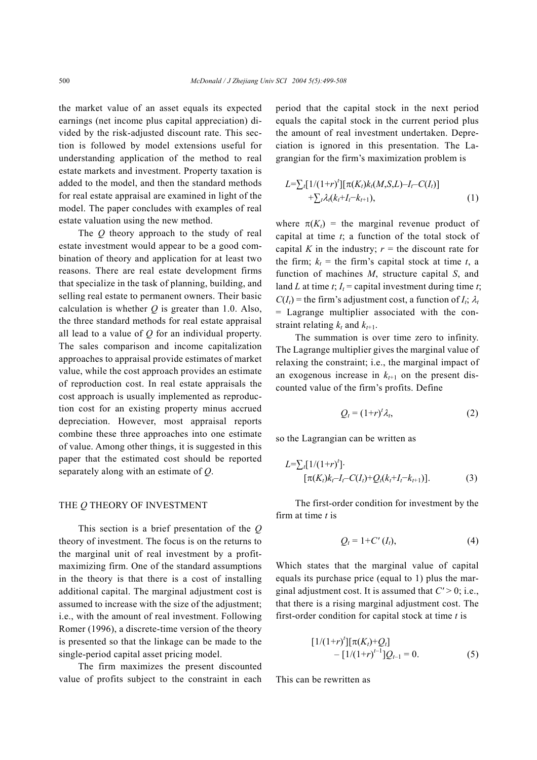the market value of an asset equals its expected earnings (net income plus capital appreciation) divided by the risk-adjusted discount rate. This section is followed by model extensions useful for understanding application of the method to real estate markets and investment. Property taxation is added to the model, and then the standard methods for real estate appraisal are examined in light of the model. The paper concludes with examples of real estate valuation using the new method.

The *Q* theory approach to the study of real estate investment would appear to be a good combination of theory and application for at least two reasons. There are real estate development firms that specialize in the task of planning, building, and selling real estate to permanent owners. Their basic calculation is whether *Q* is greater than 1.0. Also, the three standard methods for real estate appraisal all lead to a value of *Q* for an individual property. The sales comparison and income capitalization approaches to appraisal provide estimates of market value, while the cost approach provides an estimate of reproduction cost. In real estate appraisals the cost approach is usually implemented as reproduction cost for an existing property minus accrued depreciation. However, most appraisal reports combine these three approaches into one estimate of value. Among other things, it is suggested in this paper that the estimated cost should be reported separately along with an estimate of *Q*.

#### THE *Q* THEORY OF INVESTMENT

This section is a brief presentation of the *Q* theory of investment. The focus is on the returns to the marginal unit of real investment by a profitmaximizing firm. One of the standard assumptions in the theory is that there is a cost of installing additional capital. The marginal adjustment cost is assumed to increase with the size of the adjustment; i.e., with the amount of real investment. Following Romer (1996), a discrete-time version of the theory is presented so that the linkage can be made to the single-period capital asset pricing model.

The firm maximizes the present discounted value of profits subject to the constraint in each period that the capital stock in the next period equals the capital stock in the current period plus the amount of real investment undertaken. Depreciation is ignored in this presentation. The Lagrangian for the firm's maximization problem is

$$
L = \sum_{l} [1/(1+r)^{l}] [\pi(K_{l})k_{l}(M,S,L) - I_{l} - C(I_{l})] + \sum_{l} \lambda_{l}(k_{l} + I_{l} - k_{l+1}), \qquad (1)
$$

where  $\pi(K_t)$  = the marginal revenue product of capital at time *t*; a function of the total stock of capital *K* in the industry;  $r =$  the discount rate for the firm;  $k_t$  = the firm's capital stock at time *t*, a function of machines *M*, structure capital *S*, and land *L* at time *t*;  $I_t$  = capital investment during time *t*;  $C(I_t)$  = the firm's adjustment cost, a function of  $I_t$ ;  $\lambda_t$ = Lagrange multiplier associated with the constraint relating  $k_t$  and  $k_{t+1}$ .

The summation is over time zero to infinity. The Lagrange multiplier gives the marginal value of relaxing the constraint; i.e., the marginal impact of an exogenous increase in  $k_{t+1}$  on the present discounted value of the firm's profits. Define

$$
Q_t = (1+r)^t \lambda_t, \tag{2}
$$

so the Lagrangian can be written as

$$
L = \sum_{l} [1/(1+r)^{l}] \cdot \left[ \pi(K_{l})k_{l}-I_{l}-C(I_{l})+Q_{l}(k_{l}+I_{l}-k_{l+1}) \right]. \tag{3}
$$

The first-order condition for investment by the firm at time *t* is

$$
Q_t = 1 + C'(I_t),\tag{4}
$$

Which states that the marginal value of capital equals its purchase price (equal to 1) plus the marginal adjustment cost. It is assumed that  $C' > 0$ ; i.e., that there is a rising marginal adjustment cost. The first-order condition for capital stock at time *t* is

$$
[1/(1+r)^{t}][\pi(K_{t})+Q_{t}]
$$
  
– [1/(1+r)^{t-1}]Q\_{t-1} = 0. (5)

This can be rewritten as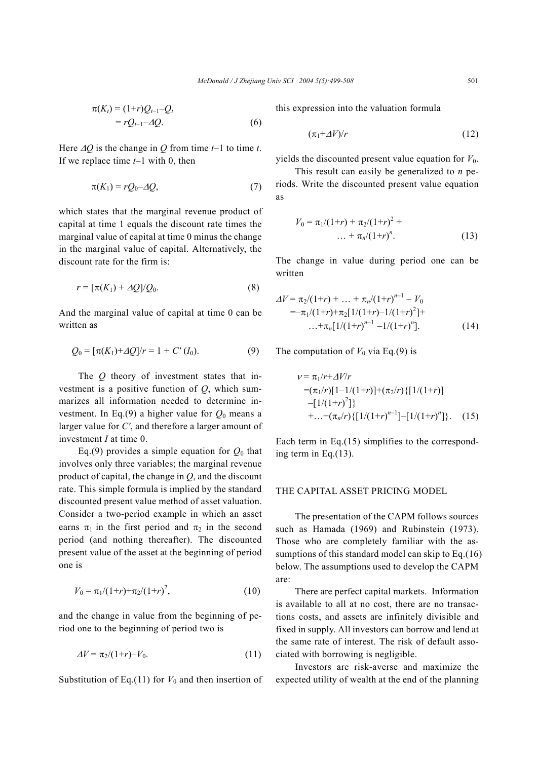$$
\pi(K_t) = (1+r)Q_{t-1} - Q_t \n= rQ_{t-1} - AQ.
$$
\n(6)

Here ∆*Q* is the change in *Q* from time *t*–1 to time *t*. If we replace time *t*–1 with 0, then

$$
\pi(K_1) = rQ_0 - \Delta Q,\tag{7}
$$

which states that the marginal revenue product of capital at time 1 equals the discount rate times the marginal value of capital at time 0 minus the change in the marginal value of capital. Alternatively, the discount rate for the firm is:

$$
r = \left[\pi(K_1) + \Delta Q\right]/Q_0. \tag{8}
$$

And the marginal value of capital at time 0 can be written as

$$
Q_0 = [\pi(K_1) + \Delta Q]/r = 1 + C'(I_0).
$$
 (9)

The *Q* theory of investment states that investment is a positive function of *Q*, which summarizes all information needed to determine investment. In Eq.(9) a higher value for  $Q_0$  means a larger value for *C'*, and therefore a larger amount of investment *I* at time 0.

Eq.(9) provides a simple equation for  $Q_0$  that involves only three variables; the marginal revenue product of capital, the change in *Q*, and the discount rate. This simple formula is implied by the standard discounted present value method of asset valuation. Consider a two-period example in which an asset earns  $\pi_1$  in the first period and  $\pi_2$  in the second period (and nothing thereafter). The discounted present value of the asset at the beginning of period one is

$$
V_0 = \pi_1/(1+r) + \pi_2/(1+r)^2,
$$
 (10)

and the change in value from the beginning of period one to the beginning of period two is

$$
\Delta V = \pi_2/(1+r) - V_0. \tag{11}
$$

Substitution of Eq.(11) for  $V_0$  and then insertion of

this expression into the valuation formula

$$
(\pi_1 + \Delta V)/r \tag{12}
$$

yields the discounted present value equation for  $V_0$ .

This result can easily be generalized to *n* periods. Write the discounted present value equation as

$$
V_0 = \pi_1/(1+r) + \pi_2/(1+r)^2 + \dots + \pi_n/(1+r)^n.
$$
 (13)

The change in value during period one can be written

$$
\Delta V = \pi_2/(1+r) + \dots + \pi_n/(1+r)^{n-1} - V_0
$$
  
=-\pi\_1/(1+r)+\pi\_2[1/(1+r)-1/(1+r)^2]+  
...+\pi\_n[1/(1+r)^{n-1}-1/(1+r)^n]. (14)

The computation of  $V_0$  via Eq.(9) is

$$
v = \pi_1/r + \Delta V/r
$$
  
= (\pi\_1/r)[1-1/(1+r)]+(\pi\_2/r){[[1/(1+r)]  
-[1/(1+r)<sup>2</sup>]}  
+...+(\pi\_n/r){[[1/(1+r)<sup>n-1</sup>]-[1/(1+r)<sup>n</sup>]}. (15)

Each term in Eq.(15) simplifies to the corresponding term in Eq.(13).

## THE CAPITAL ASSET PRICING MODEL

The presentation of the CAPM follows sources such as Hamada (1969) and Rubinstein (1973). Those who are completely familiar with the assumptions of this standard model can skip to Eq.(16) below. The assumptions used to develop the CAPM are:

There are perfect capital markets. Information is available to all at no cost, there are no transactions costs, and assets are infinitely divisible and fixed in supply. All investors can borrow and lend at the same rate of interest. The risk of default associated with borrowing is negligible.

Investors are risk-averse and maximize the expected utility of wealth at the end of the planning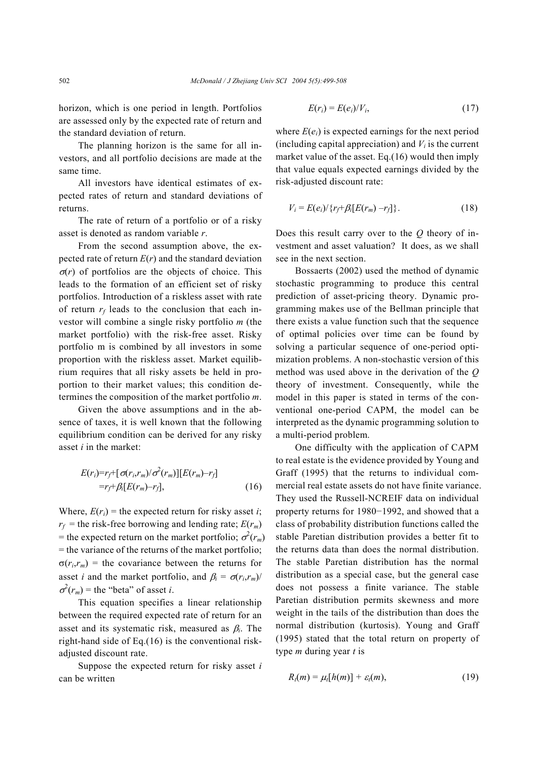horizon, which is one period in length. Portfolios are assessed only by the expected rate of return and the standard deviation of return.

The planning horizon is the same for all investors, and all portfolio decisions are made at the same time.

All investors have identical estimates of expected rates of return and standard deviations of returns.

The rate of return of a portfolio or of a risky asset is denoted as random variable *r*.

From the second assumption above, the expected rate of return  $E(r)$  and the standard deviation  $\sigma(r)$  of portfolios are the objects of choice. This leads to the formation of an efficient set of risky portfolios. Introduction of a riskless asset with rate of return  $r_f$  leads to the conclusion that each investor will combine a single risky portfolio *m* (the market portfolio) with the risk-free asset. Risky portfolio m is combined by all investors in some proportion with the riskless asset. Market equilibrium requires that all risky assets be held in proportion to their market values; this condition determines the composition of the market portfolio *m*.

Given the above assumptions and in the absence of taxes, it is well known that the following equilibrium condition can be derived for any risky asset *i* in the market:

$$
E(r_i)=r_f+\left[\sigma(r_i,r_m)/\sigma^2(r_m)\right][E(r_m)-r_f]
$$
  
=r\_f+\beta\_i[E(r\_m)-r\_f], \t\t(16)

Where,  $E(r_i)$  = the expected return for risky asset *i*;  $r_f$  = the risk-free borrowing and lending rate;  $E(r_m)$ = the expected return on the market portfolio;  $\sigma^2(r_m)$ = the variance of the returns of the market portfolio;  $\sigma(r_i,r_m)$  = the covariance between the returns for asset *i* and the market portfolio, and  $\beta_i = \sigma(r_i, r_m)$ /  $\sigma^2(r_m)$  = the "beta" of asset *i*.

This equation specifies a linear relationship between the required expected rate of return for an asset and its systematic risk, measured as β*i*. The right-hand side of Eq.(16) is the conventional riskadjusted discount rate.

Suppose the expected return for risky asset *i* can be written

$$
E(r_i) = E(e_i)/V_i, \tag{17}
$$

where  $E(e_i)$  is expected earnings for the next period (including capital appreciation) and  $V_i$  is the current market value of the asset. Eq.(16) would then imply that value equals expected earnings divided by the risk-adjusted discount rate:

$$
V_i = E(e_i) / \{r_f + \beta_i [E(r_m) - r_f]\}.
$$
 (18)

Does this result carry over to the *Q* theory of investment and asset valuation? It does, as we shall see in the next section.

Bossaerts (2002) used the method of dynamic stochastic programming to produce this central prediction of asset-pricing theory. Dynamic programming makes use of the Bellman principle that there exists a value function such that the sequence of optimal policies over time can be found by solving a particular sequence of one-period optimization problems. A non-stochastic version of this method was used above in the derivation of the *Q* theory of investment. Consequently, while the model in this paper is stated in terms of the conventional one-period CAPM, the model can be interpreted as the dynamic programming solution to a multi-period problem.

One difficulty with the application of CAPM to real estate is the evidence provided by Young and Graff (1995) that the returns to individual commercial real estate assets do not have finite variance. They used the Russell-NCREIF data on individual property returns for 1980−1992, and showed that a class of probability distribution functions called the stable Paretian distribution provides a better fit to the returns data than does the normal distribution. The stable Paretian distribution has the normal distribution as a special case, but the general case does not possess a finite variance. The stable Paretian distribution permits skewness and more weight in the tails of the distribution than does the normal distribution (kurtosis). Young and Graff (1995) stated that the total return on property of type *m* during year *t* is

$$
R_t(m) = \mu_t[h(m)] + \varepsilon_t(m), \qquad (19)
$$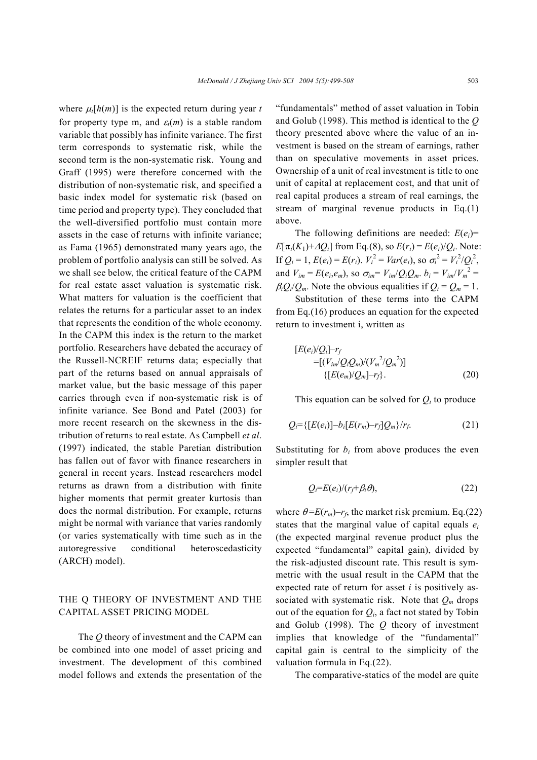where  $\mu_t[h(m)]$  is the expected return during year *t* for property type m, and  $\varepsilon_t(m)$  is a stable random variable that possibly has infinite variance. The first term corresponds to systematic risk, while the second term is the non-systematic risk. Young and Graff (1995) were therefore concerned with the distribution of non-systematic risk, and specified a basic index model for systematic risk (based on time period and property type). They concluded that the well-diversified portfolio must contain more assets in the case of returns with infinite variance; as Fama (1965) demonstrated many years ago, the problem of portfolio analysis can still be solved. As we shall see below, the critical feature of the CAPM for real estate asset valuation is systematic risk. What matters for valuation is the coefficient that relates the returns for a particular asset to an index that represents the condition of the whole economy. In the CAPM this index is the return to the market portfolio. Researchers have debated the accuracy of the Russell-NCREIF returns data; especially that part of the returns based on annual appraisals of market value, but the basic message of this paper carries through even if non-systematic risk is of infinite variance. See Bond and Patel (2003) for more recent research on the skewness in the distribution of returns to real estate. As Campbell *et al*. (1997) indicated, the stable Paretian distribution has fallen out of favor with finance researchers in general in recent years. Instead researchers model returns as drawn from a distribution with finite higher moments that permit greater kurtosis than does the normal distribution. For example, returns might be normal with variance that varies randomly (or varies systematically with time such as in the autoregressive conditional heteroscedasticity (ARCH) model).

## THE Q THEORY OF INVESTMENT AND THE CAPITAL ASSET PRICING MODEL

The *Q* theory of investment and the CAPM can be combined into one model of asset pricing and investment. The development of this combined model follows and extends the presentation of the "fundamentals" method of asset valuation in Tobin and Golub (1998). This method is identical to the *Q* theory presented above where the value of an investment is based on the stream of earnings, rather than on speculative movements in asset prices. Ownership of a unit of real investment is title to one unit of capital at replacement cost, and that unit of real capital produces a stream of real earnings, the stream of marginal revenue products in Eq.(1) above.

The following definitions are needed:  $E(e_i)$ =  $E[\pi_i(K_1)+\Delta Q_i]$  from Eq.(8), so  $E(r_i) = E(e_i)/Q_i$ . Note: If  $Q_i = 1$ ,  $E(e_i) = E(r_i)$ .  $V_i^2 = Var(e_i)$ , so  $\sigma_i^2 = V_i^2/Q_i^2$ , and  $V_{im} = E(e_i, e_m)$ , so  $\sigma_{im} = V_{im}/Q_iQ_m$ .  $b_i = V_{im}/V_m^2 =$  $\beta_i Q_i/Q_m$ . Note the obvious equalities if  $Q_i = Q_m = 1$ .

Substitution of these terms into the CAPM from Eq.(16) produces an equation for the expected return to investment i, written as

$$
[E(e_i)/Q_i]-r_f
$$
  
= [(V<sub>im</sub>/Q<sub>i</sub>Q<sub>m</sub>)/(V<sub>m</sub><sup>2</sup>/Q<sub>m</sub><sup>2</sup>)]  
{[E(e<sub>m</sub>)/Q<sub>m</sub>]-r<sub>f</sub>}. (20)

This equation can be solved for  $Q_i$  to produce

$$
Q_i = \{ [E(e_i)] - b_i [E(r_m) - r_f] Q_m \} / r_f. \tag{21}
$$

Substituting for  $b_i$  from above produces the even simpler result that

$$
Q_i = E(e_i)/(r_f + \beta_i \theta), \qquad (22)
$$

where  $\theta = E(r_m) - r_f$ , the market risk premium. Eq.(22) states that the marginal value of capital equals  $e_i$ (the expected marginal revenue product plus the expected "fundamental" capital gain), divided by the risk-adjusted discount rate. This result is symmetric with the usual result in the CAPM that the expected rate of return for asset *i* is positively associated with systematic risk. Note that *Qm* drops out of the equation for  $Q_i$ , a fact not stated by Tobin and Golub (1998). The *Q* theory of investment implies that knowledge of the "fundamental" capital gain is central to the simplicity of the valuation formula in Eq.(22).

The comparative-statics of the model are quite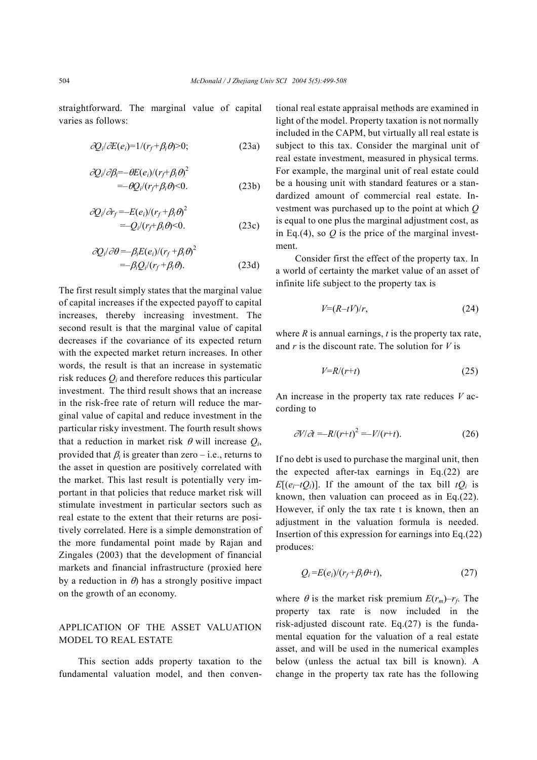straightforward. The marginal value of capital varies as follows:

$$
\frac{\partial Q_i}{\partial E}(e_i) = 1/(r_f + \beta_i \theta) > 0; \tag{23a}
$$

$$
\partial Q_i/\partial \beta_i = -\theta E(e_i)/(r_f + \beta_i \theta)^2
$$
  
= -\theta Q\_i/(r\_f + \beta\_i \theta) < 0. \t(23b)

$$
\partial Q_i/\partial r_f = -E(e_i)/(r_f + \beta_i \theta)^2
$$
  
= -Q\_i/(r\_f + \beta\_i \theta) < 0. (23c)

$$
\partial Q_i/\partial \theta = -\beta_i E(e_i)/(r_f + \beta_i \theta)^2
$$
  
= -\beta\_i Q\_i/(r\_f + \beta\_i \theta). (23d)

The first result simply states that the marginal value of capital increases if the expected payoff to capital increases, thereby increasing investment. The second result is that the marginal value of capital decreases if the covariance of its expected return with the expected market return increases. In other words, the result is that an increase in systematic risk reduces  $Q_i$  and therefore reduces this particular investment. The third result shows that an increase in the risk-free rate of return will reduce the marginal value of capital and reduce investment in the particular risky investment. The fourth result shows that a reduction in market risk  $\theta$  will increase  $Q_i$ , provided that  $\beta_i$  is greater than zero – i.e., returns to the asset in question are positively correlated with the market. This last result is potentially very important in that policies that reduce market risk will stimulate investment in particular sectors such as real estate to the extent that their returns are positively correlated. Here is a simple demonstration of the more fundamental point made by Rajan and Zingales (2003) that the development of financial markets and financial infrastructure (proxied here by a reduction in  $\theta$ ) has a strongly positive impact on the growth of an economy.

## APPLICATION OF THE ASSET VALUATION MODEL TO REAL ESTATE

This section adds property taxation to the fundamental valuation model, and then conventional real estate appraisal methods are examined in light of the model. Property taxation is not normally included in the CAPM, but virtually all real estate is subject to this tax. Consider the marginal unit of real estate investment, measured in physical terms. For example, the marginal unit of real estate could be a housing unit with standard features or a standardized amount of commercial real estate. Investment was purchased up to the point at which *Q* is equal to one plus the marginal adjustment cost, as in Eq.(4), so  $Q$  is the price of the marginal investment.

Consider first the effect of the property tax. In a world of certainty the market value of an asset of infinite life subject to the property tax is

$$
V=(R-tV)/r,\t(24)
$$

where *R* is annual earnings, *t* is the property tax rate, and *r* is the discount rate. The solution for *V* is

$$
V=R/(r+t) \tag{25}
$$

An increase in the property tax rate reduces *V* according to

$$
\partial V/\partial t = -R/(r+t)^2 = -V/(r+t). \tag{26}
$$

If no debt is used to purchase the marginal unit, then the expected after-tax earnings in Eq.(22) are *E*[ $(e_i-tQ_i)$ ]. If the amount of the tax bill  $tQ_i$  is known, then valuation can proceed as in Eq.(22). However, if only the tax rate t is known, then an adjustment in the valuation formula is needed. Insertion of this expression for earnings into Eq.(22) produces:

$$
Q_i = E(e_i)/(r_f + \beta_i \theta + t), \qquad (27)
$$

where  $\theta$  is the market risk premium  $E(r_m) - r_f$ . The property tax rate is now included in the risk-adjusted discount rate. Eq.(27) is the fundamental equation for the valuation of a real estate asset, and will be used in the numerical examples below (unless the actual tax bill is known). A change in the property tax rate has the following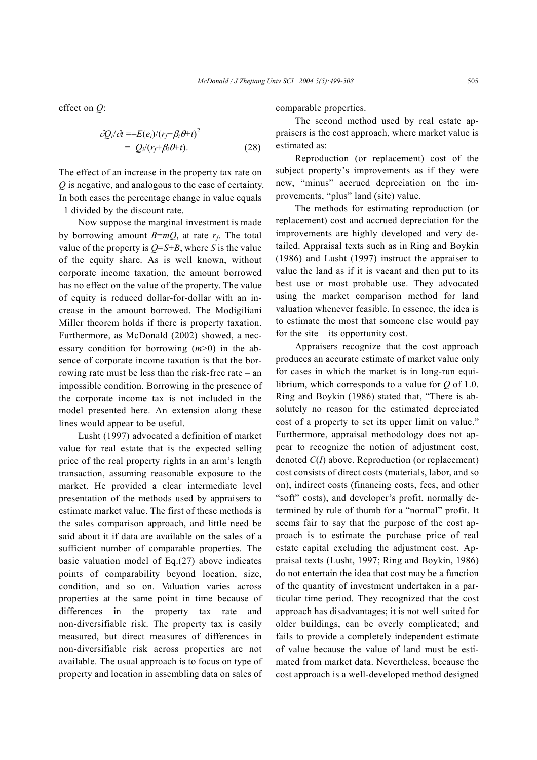effect on *Q*:

$$
\partial Q_i/\partial t = -E(e_i)/(r_f + \beta_i \theta + t)^2
$$
  
= 
$$
-Q_i/(r_f + \beta_i \theta + t).
$$
 (28)

The effect of an increase in the property tax rate on *Q* is negative, and analogous to the case of certainty. In both cases the percentage change in value equals –1 divided by the discount rate.

Now suppose the marginal investment is made by borrowing amount  $B=mQ_i$  at rate  $r_f$ . The total value of the property is  $Q = S + B$ , where *S* is the value of the equity share. As is well known, without corporate income taxation, the amount borrowed has no effect on the value of the property. The value of equity is reduced dollar-for-dollar with an increase in the amount borrowed. The Modigiliani Miller theorem holds if there is property taxation. Furthermore, as McDonald (2002) showed, a necessary condition for borrowing (*m*>0) in the absence of corporate income taxation is that the borrowing rate must be less than the risk-free rate – an impossible condition. Borrowing in the presence of the corporate income tax is not included in the model presented here. An extension along these lines would appear to be useful.

Lusht (1997) advocated a definition of market value for real estate that is the expected selling price of the real property rights in an arm's length transaction, assuming reasonable exposure to the market. He provided a clear intermediate level presentation of the methods used by appraisers to estimate market value. The first of these methods is the sales comparison approach, and little need be said about it if data are available on the sales of a sufficient number of comparable properties. The basic valuation model of Eq.(27) above indicates points of comparability beyond location, size, condition, and so on. Valuation varies across properties at the same point in time because of differences in the property tax rate and non-diversifiable risk. The property tax is easily measured, but direct measures of differences in non-diversifiable risk across properties are not available. The usual approach is to focus on type of property and location in assembling data on sales of comparable properties.

The second method used by real estate appraisers is the cost approach, where market value is estimated as:

Reproduction (or replacement) cost of the subject property's improvements as if they were new, "minus" accrued depreciation on the improvements, "plus" land (site) value.

The methods for estimating reproduction (or replacement) cost and accrued depreciation for the improvements are highly developed and very detailed. Appraisal texts such as in Ring and Boykin (1986) and Lusht (1997) instruct the appraiser to value the land as if it is vacant and then put to its best use or most probable use. They advocated using the market comparison method for land valuation whenever feasible. In essence, the idea is to estimate the most that someone else would pay for the site – its opportunity cost.

Appraisers recognize that the cost approach produces an accurate estimate of market value only for cases in which the market is in long-run equilibrium, which corresponds to a value for *Q* of 1.0. Ring and Boykin (1986) stated that, "There is absolutely no reason for the estimated depreciated cost of a property to set its upper limit on value." Furthermore, appraisal methodology does not appear to recognize the notion of adjustment cost, denoted *C*(*I*) above. Reproduction (or replacement) cost consists of direct costs (materials, labor, and so on), indirect costs (financing costs, fees, and other "soft" costs), and developer's profit, normally determined by rule of thumb for a "normal" profit. It seems fair to say that the purpose of the cost approach is to estimate the purchase price of real estate capital excluding the adjustment cost. Appraisal texts (Lusht, 1997; Ring and Boykin, 1986) do not entertain the idea that cost may be a function of the quantity of investment undertaken in a particular time period. They recognized that the cost approach has disadvantages; it is not well suited for older buildings, can be overly complicated; and fails to provide a completely independent estimate of value because the value of land must be estimated from market data. Nevertheless, because the cost approach is a well-developed method designed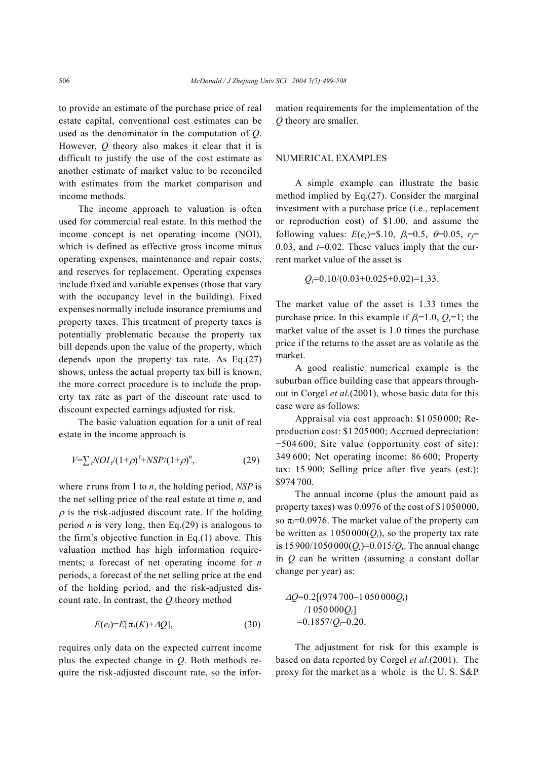to provide an estimate of the purchase price of real estate capital, conventional cost estimates can be used as the denominator in the computation of *Q*. However, *Q* theory also makes it clear that it is difficult to justify the use of the cost estimate as another estimate of market value to be reconciled with estimates from the market comparison and income methods.

The income approach to valuation is often used for commercial real estate. In this method the income concept is net operating income (NOI), which is defined as effective gross income minus operating expenses, maintenance and repair costs, and reserves for replacement. Operating expenses include fixed and variable expenses (those that vary with the occupancy level in the building). Fixed expenses normally include insurance premiums and property taxes. This treatment of property taxes is potentially problematic because the property tax bill depends upon the value of the property, which depends upon the property tax rate. As Eq.(27) shows, unless the actual property tax bill is known, the more correct procedure is to include the property tax rate as part of the discount rate used to discount expected earnings adjusted for risk.

The basic valuation equation for a unit of real estate in the income approach is

$$
V = \sum_{\tau} N O I_{\tau'} (1 + \rho)^{\tau} + N S P / (1 + \rho)^n, \tag{29}
$$

where  $\tau$  runs from 1 to *n*, the holding period, *NSP* is the net selling price of the real estate at time *n*, and  $\rho$  is the risk-adjusted discount rate. If the holding period *n* is very long, then Eq.(29) is analogous to the firm's objective function in Eq.(1) above. This valuation method has high information requirements; a forecast of net operating income for *n* periods, a forecast of the net selling price at the end of the holding period, and the risk-adjusted discount rate. In contrast, the *Q* theory method

$$
E(e_i) = E[\pi_i(K) + \Delta Q], \tag{30}
$$

requires only data on the expected current income plus the expected change in *Q*. Both methods require the risk-adjusted discount rate, so the information requirements for the implementation of the *Q* theory are smaller.

## NUMERICAL EXAMPLES

A simple example can illustrate the basic method implied by Eq.(27). Consider the marginal investment with a purchase price (i.e., replacement or reproduction cost) of \$1.00, and assume the following values:  $E(e_i)=\$$ , 10,  $\beta=0.5$ ,  $\theta=0.05$ ,  $r_f=$ 0.03, and *t*=0.02. These values imply that the current market value of the asset is

$$
Q_i=0.10/(0.03+0.025+0.02)=1.33.
$$

The market value of the asset is 1.33 times the purchase price. In this example if  $\beta_i=1.0$ ,  $Q_i=1$ ; the market value of the asset is 1.0 times the purchase price if the returns to the asset are as volatile as the market.

A good realistic numerical example is the suburban office building case that appears throughout in Corgel *et al*.(2001), whose basic data for this case were as follows:

Appraisal via cost approach: \$1 050 000; Reproduction cost: \$1205 000; Accrued depreciation: −504 600; Site value (opportunity cost of site): 349 600; Net operating income: 86 600; Property tax: 15 900; Selling price after five years (est.): \$974 700.

The annual income (plus the amount paid as property taxes) was 0.0976 of the cost of \$1050000, so  $\pi_i$ =0.0976. The market value of the property can be written as  $1\,050\,000(O_i)$ , so the property tax rate is  $15900/1050000(Q_i)=0.015/Q_i$ . The annual change in *Q* can be written (assuming a constant dollar change per year) as:

$$
\begin{aligned} \n\Delta Q &= 0.2[(974700 - 1050000Q_i) \\ \n\begin{aligned}\n& \langle 1050000Q_i \rangle \\
&= 0.1857/Q_i - 0.20.\n\end{aligned}\n\end{aligned}
$$

The adjustment for risk for this example is based on data reported by Corgel *et al*.(2001). The proxy for the market as a whole is the U. S. S&P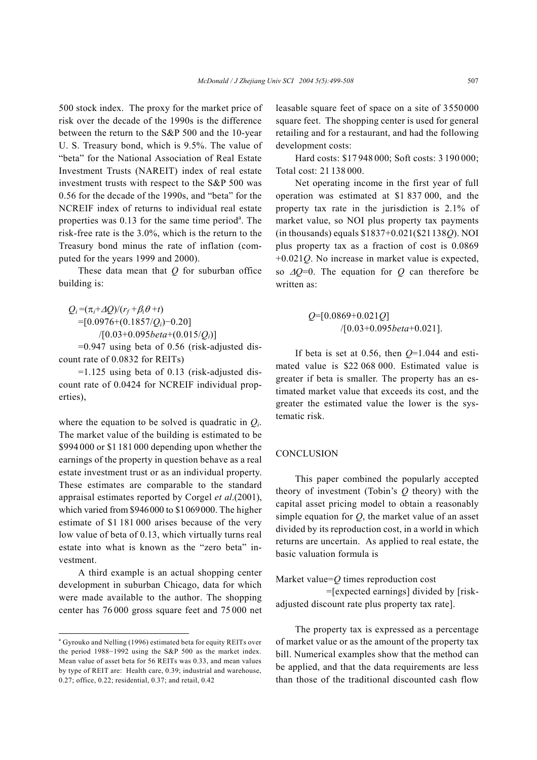500 stock index. The proxy for the market price of risk over the decade of the 1990s is the difference between the return to the S&P 500 and the 10-year U. S. Treasury bond, which is 9.5%. The value of "beta" for the National Association of Real Estate Investment Trusts (NAREIT) index of real estate investment trusts with respect to the S&P 500 was 0.56 for the decade of the 1990s, and "beta" for the NCREIF index of returns to individual real estate properties was  $0.13$  for the same time period<sup>a</sup>. The risk-free rate is the 3.0%, which is the return to the Treasury bond minus the rate of inflation (computed for the years 1999 and 2000).

These data mean that *Q* for suburban office building is:

 $Q_i = (\pi_i + \Delta Q)/(r_f + \beta_i \theta + t)$ =[0.0976+(0.1857/*Qi*)−0.20] /[0.03+0.095*beta*+(0.015/*Qi*)]

=0.947 using beta of 0.56 (risk-adjusted discount rate of 0.0832 for REITs)

=1.125 using beta of 0.13 (risk-adjusted discount rate of 0.0424 for NCREIF individual properties),

where the equation to be solved is quadratic in *Qi*. The market value of the building is estimated to be \$994 000 or \$1 181 000 depending upon whether the earnings of the property in question behave as a real estate investment trust or as an individual property. These estimates are comparable to the standard appraisal estimates reported by Corgel *et al*.(2001), which varied from \$946000 to \$1069000. The higher estimate of \$1 181 000 arises because of the very low value of beta of 0.13, which virtually turns real estate into what is known as the "zero beta" investment.

A third example is an actual shopping center development in suburban Chicago, data for which were made available to the author. The shopping center has 76 000 gross square feet and 75 000 net

 $\overline{a}$ 

leasable square feet of space on a site of 3550000 square feet. The shopping center is used for general retailing and for a restaurant, and had the following development costs:

Hard costs: \$17 948 000; Soft costs: 3 190 000; Total cost: 21 138 000.

Net operating income in the first year of full operation was estimated at \$1 837 000, and the property tax rate in the jurisdiction is 2.1% of market value, so NOI plus property tax payments (in thousands) equals \$1837+0.021(\$21138*Q*). NOI plus property tax as a fraction of cost is 0.0869 +0.021*Q*. No increase in market value is expected, so ∆*Q*=0. The equation for *Q* can therefore be written as:

$$
Q=[0.0869+0.021Q]
$$
  
/[0.03+0.095beta+0.021].

If beta is set at 0.56, then *Q*=1.044 and estimated value is \$22 068 000. Estimated value is greater if beta is smaller. The property has an estimated market value that exceeds its cost, and the greater the estimated value the lower is the systematic risk.

## **CONCLUSION**

This paper combined the popularly accepted theory of investment (Tobin's *Q* theory) with the capital asset pricing model to obtain a reasonably simple equation for *Q*, the market value of an asset divided by its reproduction cost, in a world in which returns are uncertain. As applied to real estate, the basic valuation formula is

Market value=*Q* times reproduction cost =[expected earnings] divided by [riskadjusted discount rate plus property tax rate].

The property tax is expressed as a percentage of market value or as the amount of the property tax bill. Numerical examples show that the method can be applied, and that the data requirements are less than those of the traditional discounted cash flow

<sup>&</sup>lt;sup>a</sup> Gyrouko and Nelling (1996) estimated beta for equity REITs over the period 1988−1992 using the S&P 500 as the market index. Mean value of asset beta for 56 REITs was 0.33, and mean values by type of REIT are: Health care, 0.39; industrial and warehouse, 0.27; office, 0.22; residential, 0.37; and retail, 0.42